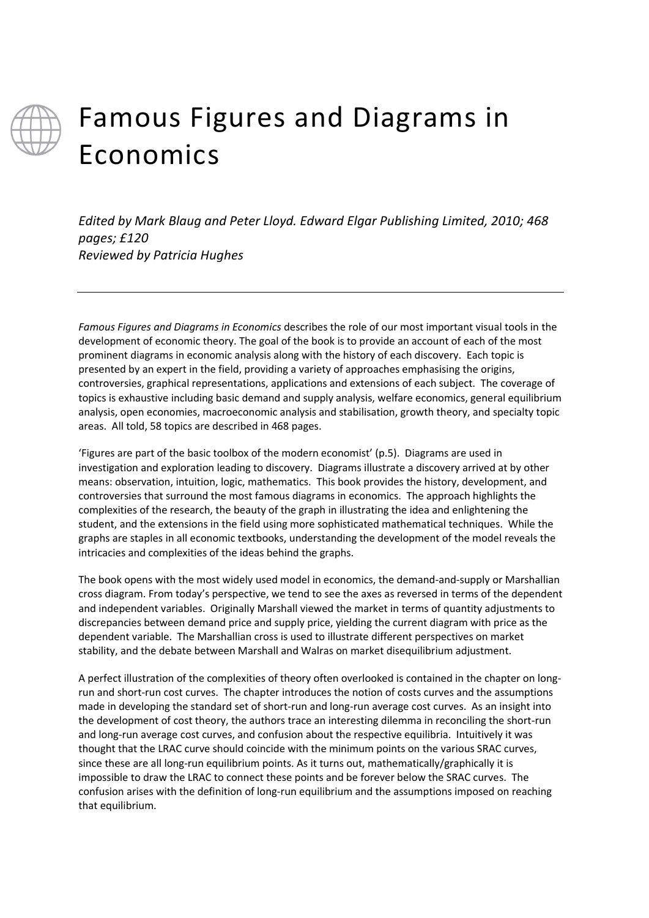

## Famous Figures and Diagrams in Economics

*Edited by Mark Blaug and Peter Lloyd. Edward Elgar Publishing Limited, 2010; 468 pages; £120 Reviewed by Patricia Hughes*

*Famous Figures and Diagrams in Economics* describes the role of our most important visual tools in the development of economic theory. The goal of the book is to provide an account of each of the most prominent diagrams in economic analysis along with the history of each discovery. Each topic is presented by an expert in the field, providing a variety of approaches emphasising the origins, controversies, graphical representations, applications and extensions of each subject. The coverage of topics is exhaustive including basic demand and supply analysis, welfare economics, general equilibrium analysis, open economies, macroeconomic analysis and stabilisation, growth theory, and specialty topic areas. All told, 58 topics are described in 468 pages.

'Figures are part of the basic toolbox of the modern economist' (p.5). Diagrams are used in investigation and exploration leading to discovery. Diagrams illustrate a discovery arrived at by other means: observation, intuition, logic, mathematics. This book provides the history, development, and controversies that surround the most famous diagrams in economics. The approach highlights the complexities of the research, the beauty of the graph in illustrating the idea and enlightening the student, and the extensions in the field using more sophisticated mathematical techniques. While the graphs are staples in all economic textbooks, understanding the development of the model reveals the intricacies and complexities of the ideas behind the graphs.

The book opens with the most widely used model in economics, the demand-and-supply or Marshallian cross diagram. From today's perspective, we tend to see the axes as reversed in terms of the dependent and independent variables. Originally Marshall viewed the market in terms of quantity adjustments to discrepancies between demand price and supply price, yielding the current diagram with price as the dependent variable. The Marshallian cross is used to illustrate different perspectives on market stability, and the debate between Marshall and Walras on market disequilibrium adjustment.

A perfect illustration of the complexities of theory often overlooked is contained in the chapter on longrun and short-run cost curves. The chapter introduces the notion of costs curves and the assumptions made in developing the standard set of short-run and long-run average cost curves. As an insight into the development of cost theory, the authors trace an interesting dilemma in reconciling the short-run and long-run average cost curves, and confusion about the respective equilibria. Intuitively it was thought that the LRAC curve should coincide with the minimum points on the various SRAC curves, since these are all long-run equilibrium points. As it turns out, mathematically/graphically it is impossible to draw the LRAC to connect these points and be forever below the SRAC curves. The confusion arises with the definition of long-run equilibrium and the assumptions imposed on reaching that equilibrium.